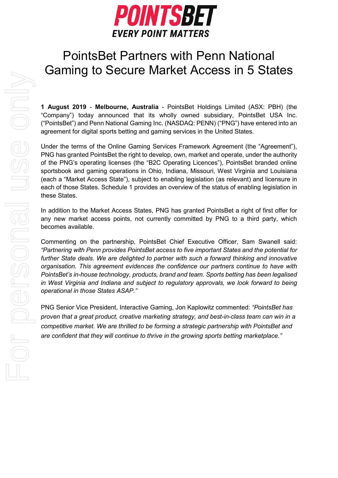

# PointsBet Partners with Penn National Gaming to Secure Market Access in 5 States

**1 August 2019** - **Melbourne, Australia** - PointsBet Holdings Limited (ASX: PBH) (the "Company") today announced that its wholly owned subsidiary, PointsBet USA Inc. ("PointsBet") and Penn National Gaming Inc. (NASDAQ: PENN) ("PNG") have entered into an agreement for digital sports betting and gaming services in the United States.

Under the terms of the Online Gaming Services Framework Agreement (the "Agreement"), PNG has granted PointsBet the right to develop, own, market and operate, under the authority of the PNG's operating licenses (the "B2C Operating Licences"), PointsBet branded online sportsbook and gaming operations in Ohio, Indiana, Missouri, West Virginia and Louisiana (each a "Market Access State"), subject to enabling legislation (as relevant) and licensure in each of those States. Schedule 1 provides an overview of the status of enabling legislation in these States.

In addition to the Market Access States, PNG has granted PointsBet a right of first offer for any new market access points, not currently committed by PNG to a third party, which becomes available.

Commenting on the partnership, PointsBet Chief Executive Officer, Sam Swanell said: *"Partnering with Penn provides PointsBet access to five important States and the potential for further State deals. We are delighted to partner with such a forward thinking and innovative organisation. This agreement evidences the confidence our partners continue to have with PointsBet's in-house technology, products, brand and team. Sports betting has been legalised in West Virginia and Indiana and subject to regulatory approvals, we look forward to being operational in those States ASAP."*

PNG Senior Vice President, Interactive Gaming, Jon Kaplowitz commented: *"PointsBet has proven that a great product, creative marketing strategy, and best-in-class team can win in a competitive market. We are thrilled to be forming a strategic partnership with PointsBet and are confident that they will continue to thrive in the growing sports betting marketplace."*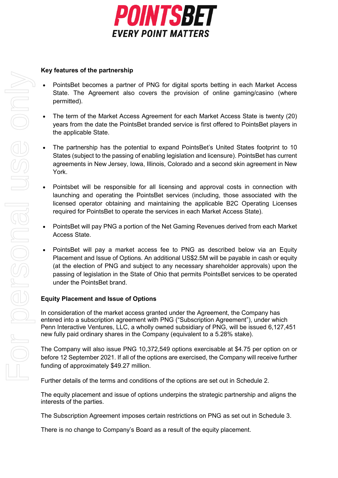

#### **Key features of the partnership**

- PointsBet becomes a partner of PNG for digital sports betting in each Market Access State. The Agreement also covers the provision of online gaming/casino (where permitted).
- The term of the Market Access Agreement for each Market Access State is twenty (20) years from the date the PointsBet branded service is first offered to PointsBet players in the applicable State.
- The partnership has the potential to expand PointsBet's United States footprint to 10 States (subject to the passing of enabling legislation and licensure). PointsBet has current agreements in New Jersey, Iowa, Illinois, Colorado and a second skin agreement in New York.
- Pointsbet will be responsible for all licensing and approval costs in connection with launching and operating the PointsBet services (including, those associated with the licensed operator obtaining and maintaining the applicable B2C Operating Licenses required for PointsBet to operate the services in each Market Access State).
- PointsBet will pay PNG a portion of the Net Gaming Revenues derived from each Market Access State.
- PointsBet will pay a market access fee to PNG as described below via an Equity Placement and Issue of Options. An additional US\$2.5M will be payable in cash or equity (at the election of PNG and subject to any necessary shareholder approvals) upon the passing of legislation in the State of Ohio that permits PointsBet services to be operated under the PointsBet brand.

#### **Equity Placement and Issue of Options**

In consideration of the market access granted under the Agreement, the Company has entered into a subscription agreement with PNG ("Subscription Agreement"), under which Penn Interactive Ventures, LLC, a wholly owned subsidiary of PNG, will be issued 6,127,451 new fully paid ordinary shares in the Company (equivalent to a 5.28% stake).

The Company will also issue PNG 10,372,549 options exercisable at \$4.75 per option on or before 12 September 2021. If all of the options are exercised, the Company will receive further funding of approximately \$49.27 million.

Further details of the terms and conditions of the options are set out in Schedule 2.

The equity placement and issue of options underpins the strategic partnership and aligns the interests of the parties.

The Subscription Agreement imposes certain restrictions on PNG as set out in Schedule 3.

There is no change to Company's Board as a result of the equity placement.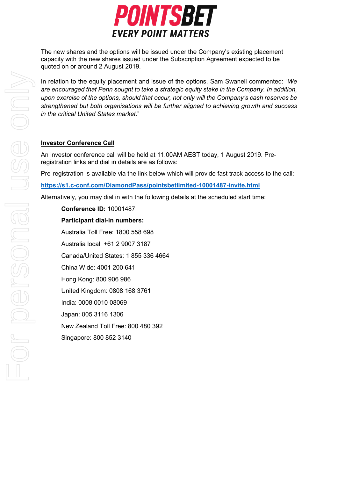

The new shares and the options will be issued under the Company's existing placement capacity with the new shares issued under the Subscription Agreement expected to be quoted on or around 2 August 2019.

In relation to the equity placement and issue of the options, Sam Swanell commented: "*We are encouraged that Penn sought to take a strategic equity stake in the Company. In addition, upon exercise of the options, should that occur, not only will the Company's cash reserves be strengthened but both organisations will be further aligned to achieving growth and success in the critical United States market.*"

#### **Investor Conference Call**

An investor conference call will be held at 11.00AM AEST today, 1 August 2019. Preregistration links and dial in details are as follows:

Pre-registration is available via the link below which will provide fast track access to the call:

**<https://s1.c-conf.com/DiamondPass/pointsbetlimited-10001487-invite.html>**

Alternatively, you may dial in with the following details at the scheduled start time:

**Conference ID:** 10001487 **Participant dial-in numbers:** Australia Toll Free: 1800 558 698 Australia local: +61 2 9007 3187 Canada/United States: 1 855 336 4664 China Wide: 4001 200 641 Hong Kong: 800 906 986 United Kingdom: 0808 168 3761 India: 0008 0010 08069 Japan: 005 3116 1306 New Zealand Toll Free: 800 480 392 Singapore: 800 852 3140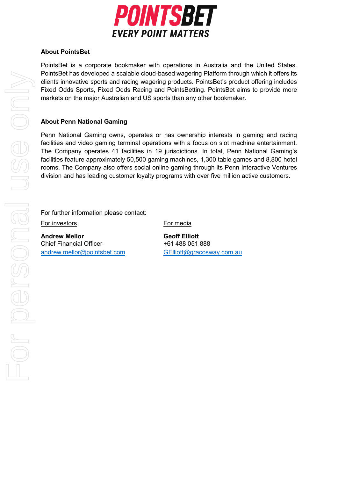

## **About PointsBet**

PointsBet is a corporate bookmaker with operations in Australia and the United States. PointsBet has developed a scalable cloud-based wagering Platform through which it offers its clients innovative sports and racing wagering products. PointsBet's product offering includes Fixed Odds Sports, Fixed Odds Racing and PointsBetting. PointsBet aims to provide more markets on the major Australian and US sports than any other bookmaker.

## **About Penn National Gaming**

Penn National Gaming owns, operates or has ownership interests in gaming and racing facilities and video gaming terminal operations with a focus on slot machine entertainment. The Company operates 41 facilities in 19 jurisdictions. In total, Penn National Gaming's facilities feature approximately 50,500 gaming machines, 1,300 table games and 8,800 hotel rooms. The Company also offers social online gaming through its Penn Interactive Ventures division and has leading customer loyalty programs with over five million active customers.

For further information please contact:

For investors For media

Andrew Mellor **Geoff Elliott** Chief Financial Officer +61 488 051 888 [andrew.mellor@pointsbet.com](mailto:andrew.mellor@pointsbet.com) [GElliott@gracosway.com.au](mailto:TDuncan@gracosway.com.au)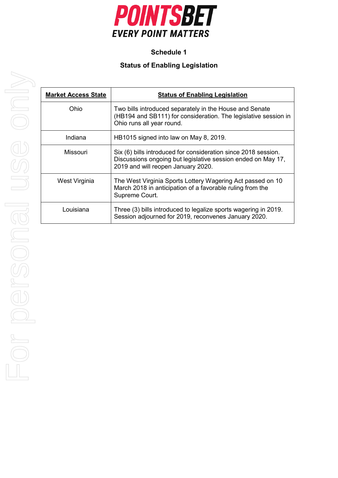

# **Schedule 1**

# **Status of Enabling Legislation**

| <b>Market Access State</b> | <b>Status of Enabling Legislation</b>                                                                                                                                |
|----------------------------|----------------------------------------------------------------------------------------------------------------------------------------------------------------------|
| Ohio                       | Two bills introduced separately in the House and Senate<br>(HB194 and SB111) for consideration. The legislative session in<br>Ohio runs all year round.              |
| Indiana                    | HB1015 signed into law on May 8, 2019.                                                                                                                               |
| Missouri                   | Six (6) bills introduced for consideration since 2018 session.<br>Discussions ongoing but legislative session ended on May 17,<br>2019 and will reopen January 2020. |
| West Virginia              | The West Virginia Sports Lottery Wagering Act passed on 10<br>March 2018 in anticipation of a favorable ruling from the<br>Supreme Court.                            |
| Louisiana                  | Three (3) bills introduced to legalize sports wagering in 2019.<br>Session adjourned for 2019, reconvenes January 2020.                                              |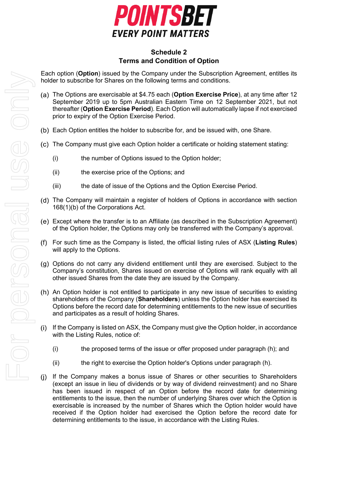

## **Schedule 2 Terms and Condition of Option**

Each option (**Option**) issued by the Company under the Subscription Agreement, entitles its holder to subscribe for Shares on the following terms and conditions.

- The Options are exercisable at \$4.75 each (**Option Exercise Price**), at any time after 12 September 2019 up to 5pm Australian Eastern Time on 12 September 2021, but not thereafter (**Option Exercise Period**). Each Option will automatically lapse if not exercised prior to expiry of the Option Exercise Period.
- Each Option entitles the holder to subscribe for, and be issued with, one Share.
- The Company must give each Option holder a certificate or holding statement stating:
	- (i) the number of Options issued to the Option holder;
	- (ii) the exercise price of the Options; and
	- (iii) the date of issue of the Options and the Option Exercise Period.
- (d) The Company will maintain a register of holders of Options in accordance with section 168(1)(b) of the Corporations Act.
- Except where the transfer is to an Affiliate (as described in the Subscription Agreement) of the Option holder, the Options may only be transferred with the Company's approval.
- For such time as the Company is listed, the official listing rules of ASX (**Listing Rules**) will apply to the Options.
- Options do not carry any dividend entitlement until they are exercised. Subject to the Company's constitution, Shares issued on exercise of Options will rank equally with all other issued Shares from the date they are issued by the Company.
- (h) An Option holder is not entitled to participate in any new issue of securities to existing shareholders of the Company (**Shareholders**) unless the Option holder has exercised its Options before the record date for determining entitlements to the new issue of securities and participates as a result of holding Shares.
- $(i)$ If the Company is listed on ASX, the Company must give the Option holder, in accordance with the Listing Rules, notice of:
	- (i) the proposed terms of the issue or offer proposed under paragraph (h); and
	- (ii) the right to exercise the Option holder's Options under paragraph (h).
- If the Company makes a bonus issue of Shares or other securities to Shareholders (except an issue in lieu of dividends or by way of dividend reinvestment) and no Share has been issued in respect of an Option before the record date for determining entitlements to the issue, then the number of underlying Shares over which the Option is exercisable is increased by the number of Shares which the Option holder would have received if the Option holder had exercised the Option before the record date for determining entitlements to the issue, in accordance with the Listing Rules.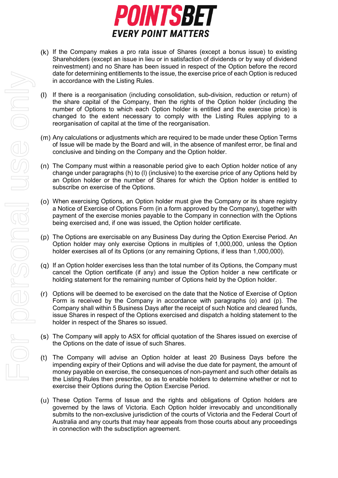

- $(k)$  If the Company makes a pro rata issue of Shares (except a bonus issue) to existing Shareholders (except an issue in lieu or in satisfaction of dividends or by way of dividend reinvestment) and no Share has been issued in respect of the Option before the record date for determining entitlements to the issue, the exercise price of each Option is reduced in accordance with the Listing Rules.
- If there is a reorganisation (including consolidation, sub-division, reduction or return) of the share capital of the Company, then the rights of the Option holder (including the number of Options to which each Option holder is entitled and the exercise price) is changed to the extent necessary to comply with the Listing Rules applying to a reorganisation of capital at the time of the reorganisation.
- Any calculations or adjustments which are required to be made under these Option Terms of Issue will be made by the Board and will, in the absence of manifest error, be final and conclusive and binding on the Company and the Option holder.
- $(n)$  The Company must within a reasonable period give to each Option holder notice of any change under paragraphs (h) to (l) (inclusive) to the exercise price of any Options held by an Option holder or the number of Shares for which the Option holder is entitled to subscribe on exercise of the Options.
- <span id="page-6-0"></span>When exercising Options, an Option holder must give the Company or its share registry a Notice of Exercise of Options Form (in a form approved by the Company), together with payment of the exercise monies payable to the Company in connection with the Options being exercised and, if one was issued, the Option holder certificate.
- <span id="page-6-1"></span>The Options are exercisable on any Business Day during the Option Exercise Period. An Option holder may only exercise Options in multiples of 1,000,000, unless the Option holder exercises all of its Options (or any remaining Options, if less than 1,000,000).
- (q) If an Option holder exercises less than the total number of its Options, the Company must cancel the Option certificate (if any) and issue the Option holder a new certificate or holding statement for the remaining number of Options held by the Option holder.
- Options will be deemed to be exercised on the date that the Notice of Exercise of Option Form is received by the Company in accordance with paragraphs [\(o\)](#page-6-0) and [\(p\).](#page-6-1) The Company shall within 5 Business Days after the receipt of such Notice and cleared funds, issue Shares in respect of the Options exercised and dispatch a holding statement to the holder in respect of the Shares so issued.
- The Company will apply to ASX for official quotation of the Shares issued on exercise of the Options on the date of issue of such Shares.
- The Company will advise an Option holder at least 20 Business Days before the impending expiry of their Options and will advise the due date for payment, the amount of money payable on exercise, the consequences of non-payment and such other details as the Listing Rules then prescribe, so as to enable holders to determine whether or not to exercise their Options during the Option Exercise Period.
- These Option Terms of Issue and the rights and obligations of Option holders are governed by the laws of Victoria. Each Option holder irrevocably and unconditionally submits to the non-exclusive jurisdiction of the courts of Victoria and the Federal Court of Australia and any courts that may hear appeals from those courts about any proceedings in connection with the subsctiption agreement.